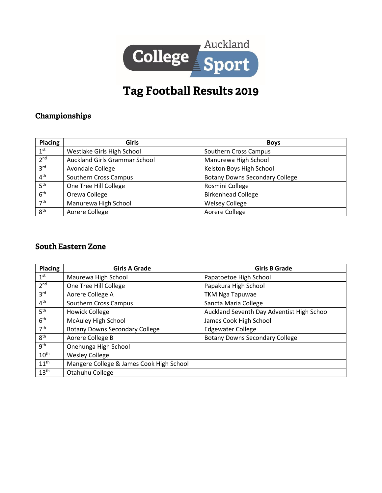

## Tag Football Results 2019

## Championships

| Placing         | Girls                         | <b>Boys</b>                           |
|-----------------|-------------------------------|---------------------------------------|
| 1 <sup>st</sup> | Westlake Girls High School    | Southern Cross Campus                 |
| 2 <sup>nd</sup> | Auckland Girls Grammar School | Manurewa High School                  |
| 3 <sup>rd</sup> | Avondale College              | Kelston Boys High School              |
| 4 <sup>th</sup> | Southern Cross Campus         | <b>Botany Downs Secondary College</b> |
| 5 <sup>th</sup> | One Tree Hill College         | Rosmini College                       |
| 6 <sup>th</sup> | Orewa College                 | <b>Birkenhead College</b>             |
| 7 <sup>th</sup> | Manurewa High School          | <b>Welsey College</b>                 |
| 8 <sup>th</sup> | Aorere College                | Aorere College                        |

## **South Eastern Zone**

| <b>Placing</b>   | <b>Girls A Grade</b>                     | <b>Girls B Grade</b>                       |
|------------------|------------------------------------------|--------------------------------------------|
| 1 <sup>st</sup>  | Maurewa High School                      | Papatoetoe High School                     |
| 2 <sup>nd</sup>  | One Tree Hill College                    | Papakura High School                       |
| 3 <sup>rd</sup>  | Aorere College A                         | <b>TKM Nga Tapuwae</b>                     |
| 4 <sup>th</sup>  | <b>Southern Cross Campus</b>             | Sancta Maria College                       |
| 5 <sup>th</sup>  | <b>Howick College</b>                    | Auckland Seventh Day Adventist High School |
| 6 <sup>th</sup>  | McAuley High School                      | James Cook High School                     |
| 7 <sup>th</sup>  | <b>Botany Downs Secondary College</b>    | <b>Edgewater College</b>                   |
| 8 <sup>th</sup>  | Aorere College B                         | <b>Botany Downs Secondary College</b>      |
| gth              | Onehunga High School                     |                                            |
| $10^{\text{th}}$ | <b>Wesley College</b>                    |                                            |
| $11^{\text{th}}$ | Mangere College & James Cook High School |                                            |
| 13 <sup>th</sup> | Otahuhu College                          |                                            |